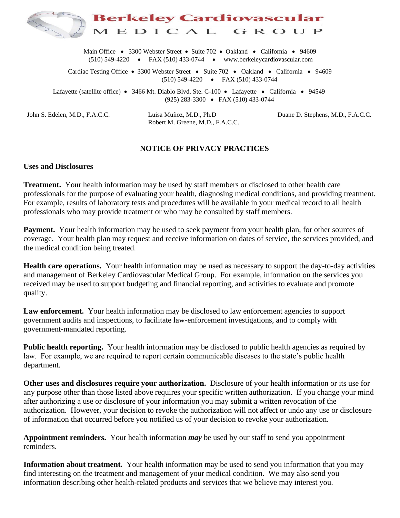

Main Office • 3300 Webster Street • Suite 702 • Oakland • California • 94609 (510) 549-4220 • FAX (510) 433-0744 • www.berkeleycardiovascular.com

Cardiac Testing Office • 3300 Webster Street • Suite 702 • Oakland • California • 94609 (510) 549-4220 • FAX (510) 433-0744

 Lafayette (satellite office) • 3466 Mt. Diablo Blvd. Ste. C-100 • Lafayette • California • 94549 (925) 283-3300 • FAX (510) 433-0744

John S. Edelen, M.D., F.A.C.C. Luisa Muñoz, M.D., Ph.D Duane D. Stephens, M.D., F.A.C.C. Robert M. Greene, M.D., F.A.C.C.

## **NOTICE OF PRIVACY PRACTICES**

## **Uses and Disclosures**

**Treatment.** Your health information may be used by staff members or disclosed to other health care professionals for the purpose of evaluating your health, diagnosing medical conditions, and providing treatment. For example, results of laboratory tests and procedures will be available in your medical record to all health professionals who may provide treatment or who may be consulted by staff members.

**Payment.** Your health information may be used to seek payment from your health plan, for other sources of coverage. Your health plan may request and receive information on dates of service, the services provided, and the medical condition being treated.

**Health care operations.** Your health information may be used as necessary to support the day-to-day activities and management of Berkeley Cardiovascular Medical Group. For example, information on the services you received may be used to support budgeting and financial reporting, and activities to evaluate and promote quality.

Law enforcement. Your health information may be disclosed to law enforcement agencies to support government audits and inspections, to facilitate law-enforcement investigations, and to comply with government-mandated reporting.

**Public health reporting.** Your health information may be disclosed to public health agencies as required by law. For example, we are required to report certain communicable diseases to the state's public health department.

**Other uses and disclosures require your authorization.** Disclosure of your health information or its use for any purpose other than those listed above requires your specific written authorization. If you change your mind after authorizing a use or disclosure of your information you may submit a written revocation of the authorization. However, your decision to revoke the authorization will not affect or undo any use or disclosure of information that occurred before you notified us of your decision to revoke your authorization.

**Appointment reminders.** Your health information *may* be used by our staff to send you appointment reminders.

**Information about treatment.** Your health information may be used to send you information that you may find interesting on the treatment and management of your medical condition. We may also send you information describing other health-related products and services that we believe may interest you.